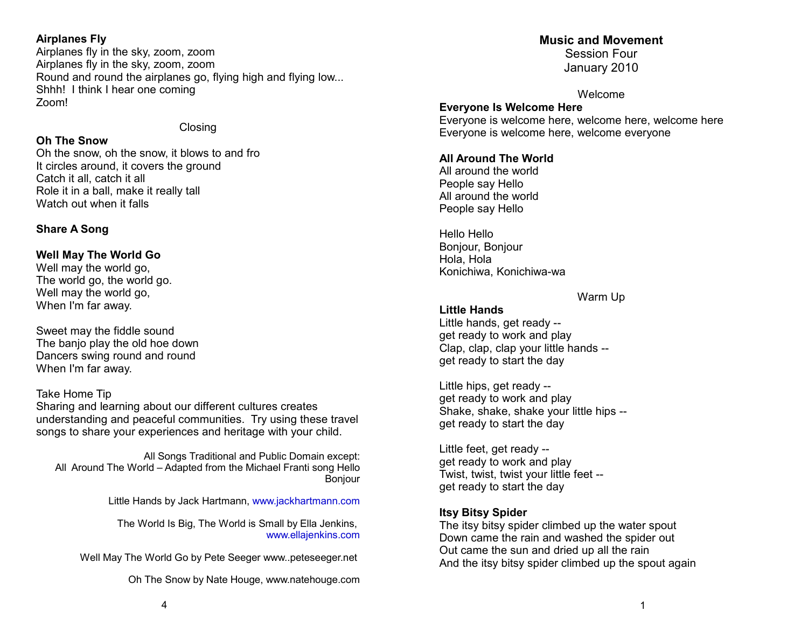## **Airplanes Fly**

Airplanes fly in the sky, zoom, zoom Airplanes fly in the sky, zoom, zoom Round and round the airplanes go, flying high and flying low... Shhh! I think I hear one coming Zoom!

## Closing

## **Oh The Snow**

Oh the snow, oh the snow, it blows to and fro It circles around, it covers the ground Catch it all, catch it all Role it in a ball, make it really tall Watch out when it falls

## **Share A Song**

## **Well May The World Go**

Well may the world go, The world go, the world go. Well may the world go. When I'm far away.

Sweet may the fiddle sound The banjo play the old hoe down Dancers swing round and round When I'm far away.

## Take Home Tip

Sharing and learning about our different cultures creates understanding and peaceful communities. Try using these travel songs to share your experiences and heritage with your child.

All Songs Traditional and Public Domain except: All Around The World – Adapted from the Michael Franti song Hello Bonjour

Little Hands by Jack Hartmann, [www.jackhartmann.com](http://www.jackhartmann.com/)

The World Is Big, The World is Small by Ella Jenkins, [www.ellajenkins.com](http://www.ellajenkins.com/)

Well May The World Go by Pete Seeger www..peteseeger.net

Oh The Snow by Nate Houge, www.natehouge.com

## **Music and Movement**

Session Four January 2010

Welcome

**Everyone Is Welcome Here** Everyone is welcome here, welcome here, welcome here Everyone is welcome here, welcome everyone

## **All Around The World**

All around the world People say Hello All around the world People say Hello

Hello Hello Bonjour, Bonjour Hola, Hola Konichiwa, Konichiwa-wa

Warm Up

**Little Hands** Little hands, get ready - get ready to work and play Clap, clap, clap your little hands - get ready to start the day

Little hips, get ready - get ready to work and play Shake, shake, shake your little hips - get ready to start the day

Little feet, get ready - get ready to work and play Twist, twist, twist your little feet - get ready to start the day

## **Itsy Bitsy Spider**

The itsy bitsy spider climbed up the water spout Down came the rain and washed the spider out Out came the sun and dried up all the rain And the itsy bitsy spider climbed up the spout again